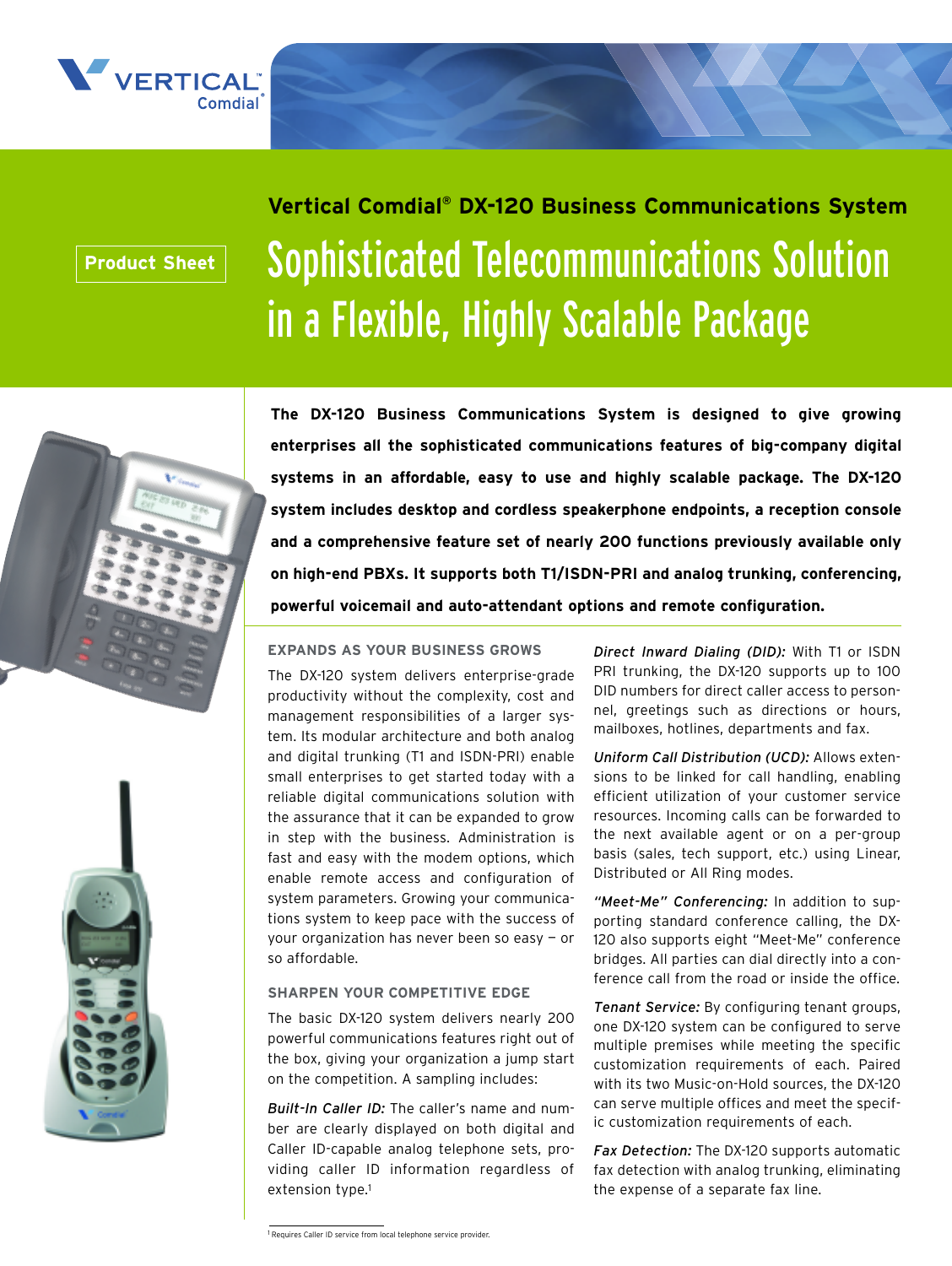

# **Product Sheet**

# Sophisticated Telecommunications Solution in a Flexible, Highly Scalable Package **Vertical Comdial® DX-120 Business Communications System**



**The DX-120 Business Communications System is designed to give growing enterprises all the sophisticated communications features of big-company digital systems in an affordable, easy to use and highly scalable package. The DX-120 system includes desktop and cordless speakerphone endpoints, a reception console and a comprehensive feature set of nearly 200 functions previously available only on high-end PBXs. It supports both T1/ISDN-PRI and analog trunking, conferencing, powerful voicemail and auto-attendant options and remote configuration.**

## **EXPANDS AS YOUR BUSINESS GROWS**

The DX-120 system delivers enterprise-grade productivity without the complexity, cost and management responsibilities of a larger system. Its modular architecture and both analog and digital trunking (T1 and ISDN-PRI) enable small enterprises to get started today with a reliable digital communications solution with the assurance that it can be expanded to grow in step with the business. Administration is fast and easy with the modem options, which enable remote access and configuration of system parameters. Growing your communications system to keep pace with the success of your organization has never been so easy — or so affordable.

## **SHARPEN YOUR COMPETITIVE EDGE**

The basic DX-120 system delivers nearly 200 powerful communications features right out of the box, giving your organization a jump start on the competition. A sampling includes:

*Built-In Caller ID:* The caller's name and number are clearly displayed on both digital and Caller ID-capable analog telephone sets, providing caller ID information regardless of extension type.1

*Direct Inward Dialing (DID):* With T1 or ISDN PRI trunking, the DX-120 supports up to 100 DID numbers for direct caller access to personnel, greetings such as directions or hours, mailboxes, hotlines, departments and fax.

*Uniform Call Distribution (UCD):* Allows extensions to be linked for call handling, enabling efficient utilization of your customer service resources. Incoming calls can be forwarded to the next available agent or on a per-group basis (sales, tech support, etc.) using Linear, Distributed or All Ring modes.

*"Meet-Me" Conferencing:* In addition to supporting standard conference calling, the DX-120 also supports eight "Meet-Me" conference bridges. All parties can dial directly into a conference call from the road or inside the office.

*Tenant Service:* By configuring tenant groups, one DX-120 system can be configured to serve multiple premises while meeting the specific customization requirements of each. Paired with its two Music-on-Hold sources, the DX-120 can serve multiple offices and meet the specific customization requirements of each.

*Fax Detection:* The DX-120 supports automatic fax detection with analog trunking, eliminating the expense of a separate fax line.

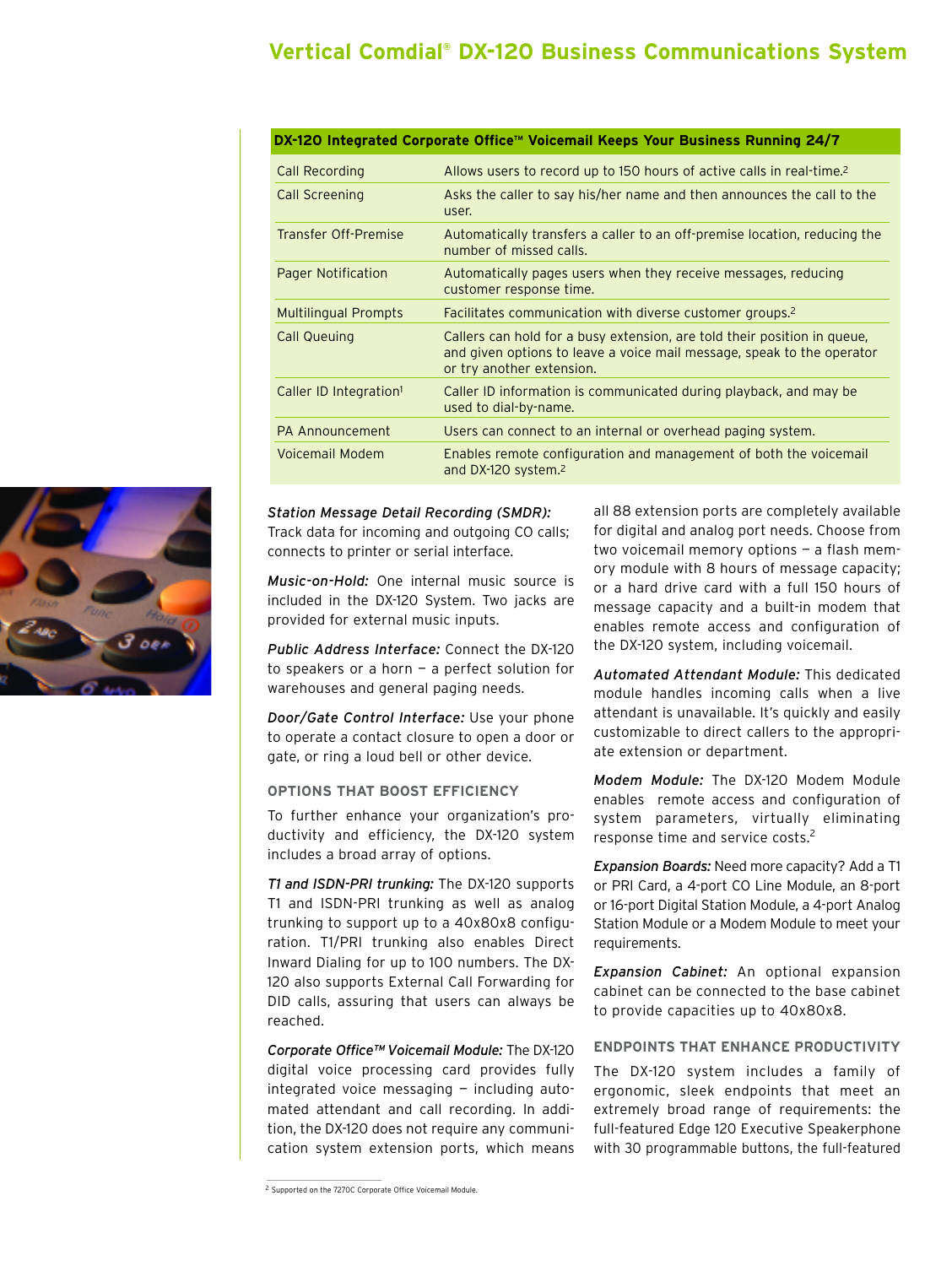# **Vertical Comdial® DX-120 Business Communications System**

| DX-120 Integrated Corporate Office™ Voicemail Keeps Your Business Running 24/7 |                                                                                                                                                                                 |  |  |  |
|--------------------------------------------------------------------------------|---------------------------------------------------------------------------------------------------------------------------------------------------------------------------------|--|--|--|
| Call Recording                                                                 | Allows users to record up to 150 hours of active calls in real-time. <sup>2</sup>                                                                                               |  |  |  |
| <b>Call Screening</b>                                                          | Asks the caller to say his/her name and then announces the call to the<br>user.                                                                                                 |  |  |  |
| <b>Transfer Off-Premise</b>                                                    | Automatically transfers a caller to an off-premise location, reducing the<br>number of missed calls.                                                                            |  |  |  |
| Pager Notification                                                             | Automatically pages users when they receive messages, reducing<br>customer response time.                                                                                       |  |  |  |
| <b>Multilingual Prompts</b>                                                    | Facilitates communication with diverse customer groups. <sup>2</sup>                                                                                                            |  |  |  |
| <b>Call Queuing</b>                                                            | Callers can hold for a busy extension, are told their position in queue,<br>and given options to leave a voice mail message, speak to the operator<br>or try another extension. |  |  |  |
| Caller ID Integration <sup>1</sup>                                             | Caller ID information is communicated during playback, and may be<br>used to dial-by-name.                                                                                      |  |  |  |
| PA Announcement                                                                | Users can connect to an internal or overhead paging system.                                                                                                                     |  |  |  |
| Voicemail Modem                                                                | Enables remote configuration and management of both the voicemail<br>and DX-120 system. <sup>2</sup>                                                                            |  |  |  |

*Station Message Detail Recording (SMDR):* Track data for incoming and outgoing CO calls; connects to printer or serial interface.

*Music-on-Hold:* One internal music source is included in the DX-120 System. Two jacks are provided for external music inputs.

*Public Address Interface:* Connect the DX-120 to speakers or a horn — a perfect solution for warehouses and general paging needs.

*Door/Gate Control Interface:* Use your phone to operate a contact closure to open a door or gate, or ring a loud bell or other device.

# **OPTIONS THAT BOOST EFFICIENCY**

To further enhance your organization's productivity and efficiency, the DX-120 system includes a broad array of options.

*T1 and ISDN-PRI trunking:* The DX-120 supports T1 and ISDN-PRI trunking as well as analog trunking to support up to a 40x80x8 configuration. T1/PRI trunking also enables Direct Inward Dialing for up to 100 numbers. The DX-120 also supports External Call Forwarding for DID calls, assuring that users can always be reached.

*Corporate Office™ Voicemail Module:* The DX-120 digital voice processing card provides fully integrated voice messaging — including automated attendant and call recording. In addition, the DX-120 does not require any communication system extension ports, which means all 88 extension ports are completely available for digital and analog port needs. Choose from two voicemail memory options — a flash memory module with 8 hours of message capacity; or a hard drive card with a full 150 hours of message capacity and a built-in modem that enables remote access and configuration of the DX-120 system, including voicemail.

*Automated Attendant Module:* This dedicated module handles incoming calls when a live attendant is unavailable. It's quickly and easily customizable to direct callers to the appropriate extension or department.

*Modem Module:* The DX-120 Modem Module enables remote access and configuration of system parameters, virtually eliminating response time and service costs.<sup>2</sup>

*Expansion Boards:* Need more capacity? Add a T1 or PRI Card, a 4-port CO Line Module, an 8-port or 16-port Digital Station Module, a 4-port Analog Station Module or a Modem Module to meet your requirements.

*Expansion Cabinet:* An optional expansion cabinet can be connected to the base cabinet to provide capacities up to 40x80x8.

## **ENDPOINTS THAT ENHANCE PRODUCTIVITY**

The DX-120 system includes a family of ergonomic, sleek endpoints that meet an extremely broad range of requirements: the full-featured Edge 120 Executive Speakerphone with 30 programmable buttons, the full-featured



<sup>2</sup> Supported on the 7270C Corporate Office Voicemail Module.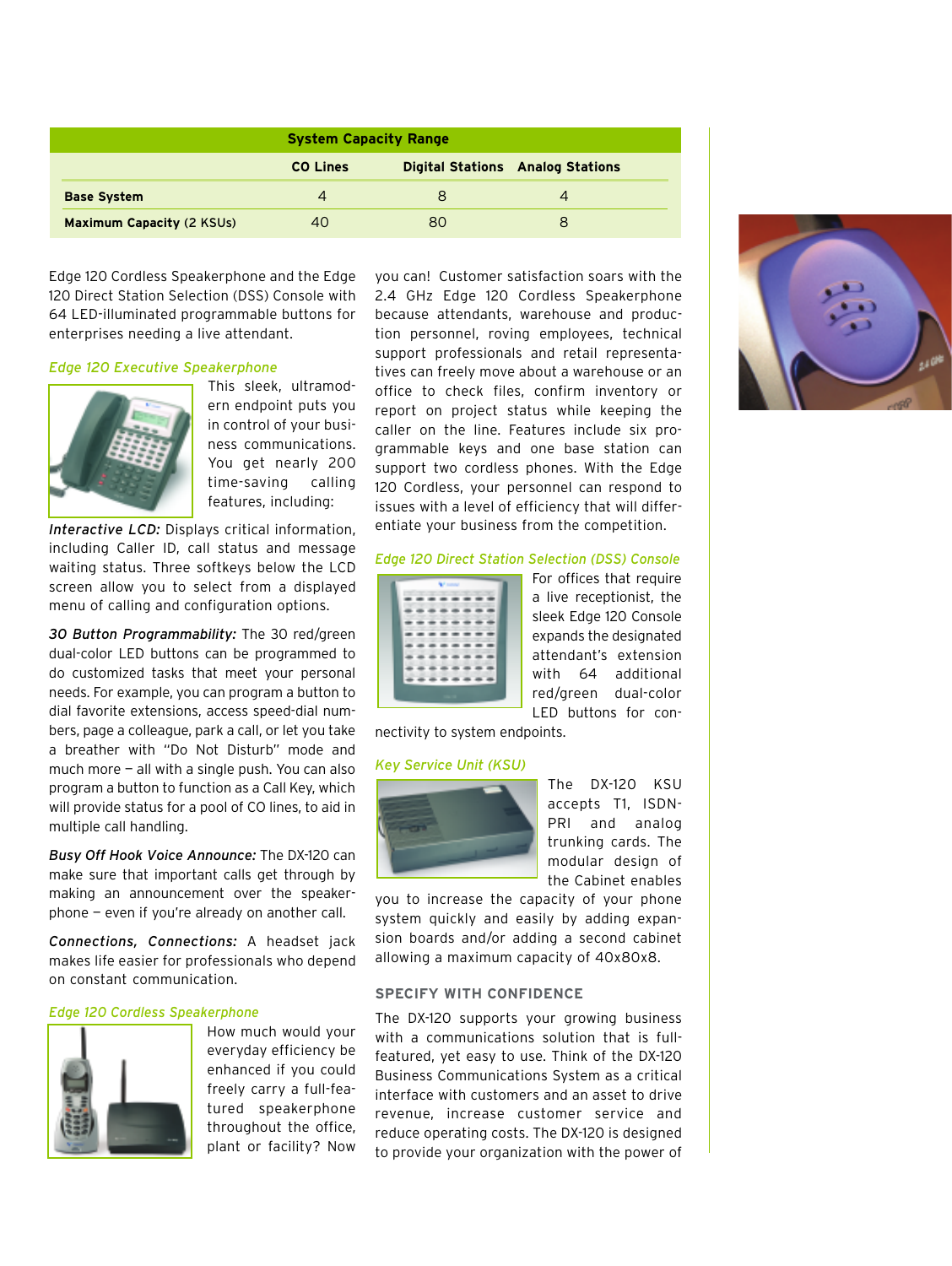| <b>System Capacity Range</b>     |                 |    |                                         |
|----------------------------------|-----------------|----|-----------------------------------------|
|                                  | <b>CO Lines</b> |    | <b>Digital Stations Analog Stations</b> |
| <b>Base System</b>               | 4               | 8  | Δ                                       |
| <b>Maximum Capacity (2 KSUs)</b> | 40              | 80 |                                         |

Edge 120 Cordless Speakerphone and the Edge 120 Direct Station Selection (DSS) Console with 64 LED-illuminated programmable buttons for enterprises needing a live attendant.

#### *Edge 120 Executive Speakerphone*



This sleek, ultramodern endpoint puts you in control of your business communications. You get nearly 200 time-saving calling features, including:

*Interactive LCD:* Displays critical information, including Caller ID, call status and message waiting status. Three softkeys below the LCD screen allow you to select from a displayed menu of calling and configuration options.

*30 Button Programmability:* The 30 red/green dual-color LED buttons can be programmed to do customized tasks that meet your personal needs. For example, you can program a button to dial favorite extensions, access speed-dial numbers, page a colleague, park a call, or let you take a breather with "Do Not Disturb" mode and much more  $-$  all with a single push. You can also program a button to function as a Call Key, which will provide status for a pool of CO lines, to aid in multiple call handling.

*Busy Off Hook Voice Announce:* The DX-120 can make sure that important calls get through by making an announcement over the speakerphone — even if you're already on another call.

*Connections, Connections:* A headset jack makes life easier for professionals who depend on constant communication.

#### *Edge 120 Cordless Speakerphone*



How much would your everyday efficiency be enhanced if you could freely carry a full-featured speakerphone throughout the office, plant or facility? Now

you can! Customer satisfaction soars with the 2.4 GHz Edge 120 Cordless Speakerphone because attendants, warehouse and production personnel, roving employees, technical support professionals and retail representatives can freely move about a warehouse or an office to check files, confirm inventory or report on project status while keeping the caller on the line. Features include six programmable keys and one base station can support two cordless phones. With the Edge 120 Cordless, your personnel can respond to issues with a level of efficiency that will differentiate your business from the competition.

#### *Edge 120 Direct Station Selection (DSS) Console*



For offices that require a live receptionist, the sleek Edge 120 Console expands the designated attendant's extension with 64 additional red/green dual-color LED buttons for con-

nectivity to system endpoints.

#### *Key Service Unit (KSU)*



The DX-120 KSU accepts T1, ISDN-PRI and analog trunking cards. The modular design of the Cabinet enables

you to increase the capacity of your phone system quickly and easily by adding expansion boards and/or adding a second cabinet allowing a maximum capacity of 40x80x8.

## **SPECIFY WITH CONFIDENCE**

The DX-120 supports your growing business with a communications solution that is fullfeatured, yet easy to use. Think of the DX-120 Business Communications System as a critical interface with customers and an asset to drive revenue, increase customer service and reduce operating costs. The DX-120 is designed to provide your organization with the power of

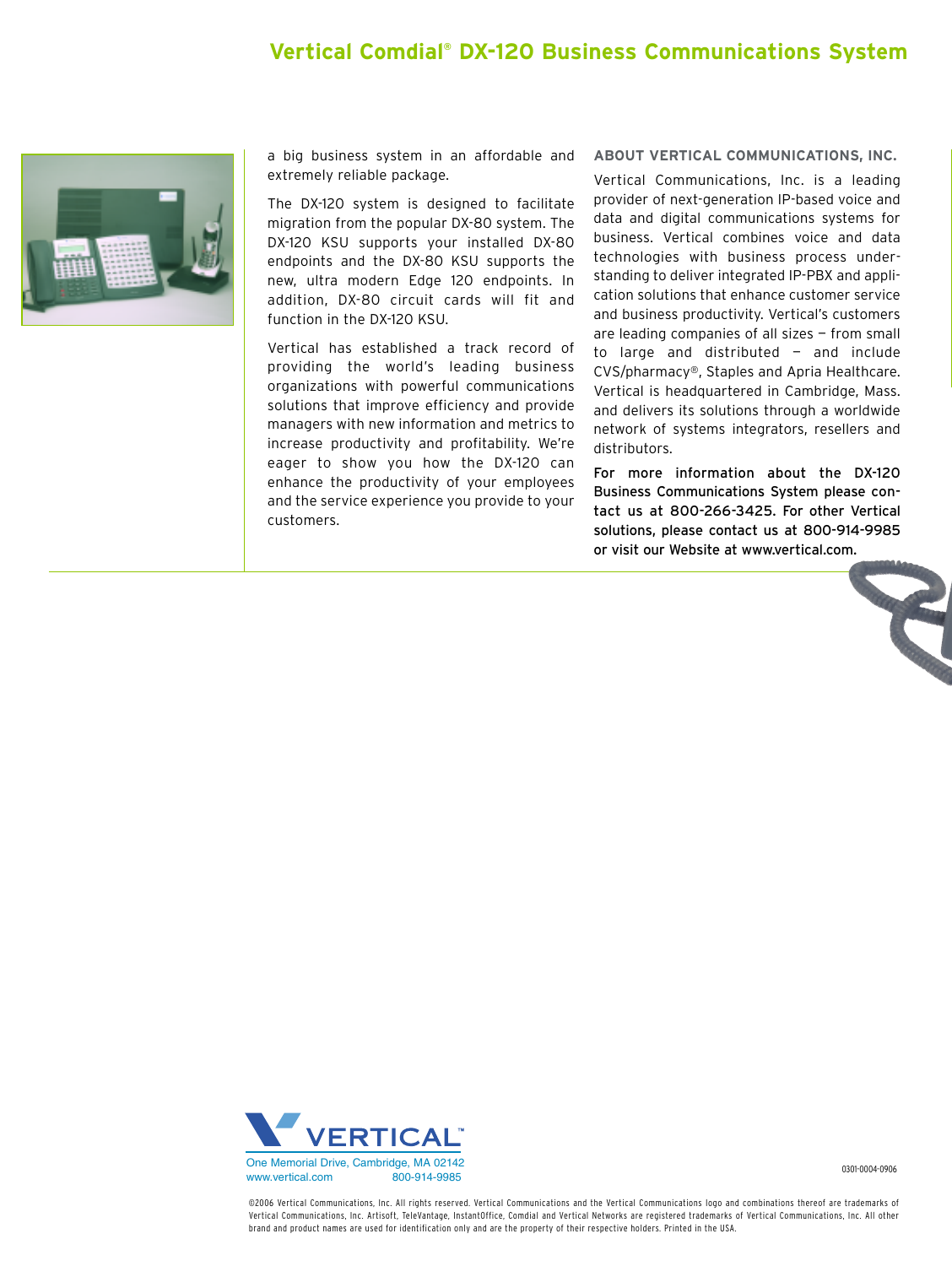# **Vertical Comdial® DX-120 Business Communications System**



a big business system in an affordable and extremely reliable package.

The DX-120 system is designed to facilitate migration from the popular DX-80 system. The DX-120 KSU supports your installed DX-80 endpoints and the DX-80 KSU supports the new, ultra modern Edge 120 endpoints. In addition, DX-80 circuit cards will fit and function in the DX-120 KSU.

Vertical has established a track record of providing the world's leading business organizations with powerful communications solutions that improve efficiency and provide managers with new information and metrics to increase productivity and profitability. We're eager to show you how the DX-120 can enhance the productivity of your employees and the service experience you provide to your customers.

## **ABOUT VERTICAL COMMUNICATIONS, INC.**

Vertical Communications, Inc. is a leading provider of next-generation IP-based voice and data and digital communications systems for business. Vertical combines voice and data technologies with business process understanding to deliver integrated IP-PBX and application solutions that enhance customer service and business productivity. Vertical's customers are leading companies of all sizes — from small to large and distributed  $-$  and include CVS/pharmacy®, Staples and Apria Healthcare. Vertical is headquartered in Cambridge, Mass. and delivers its solutions through a worldwide network of systems integrators, resellers and distributors.

For more information about the DX-120 Business Communications System please contact us at 800-266-3425. For other Vertical solutions, please contact us at 800-914-9985 or visit our Website at www.vertical.com.



0301-0004-0906

©2006 Vertical Communications, Inc. All rights reserved. Vertical Communications and the Vertical Communications logo and combinations thereof are trademarks of Vertical Communications, Inc. Artisoft, TeleVantage, InstantOffice, Comdial and Vertical Networks are registered trademarks of Vertical Communications, Inc. All other brand and product names are used for identification only and are the property of their respective holders. Printed in the USA.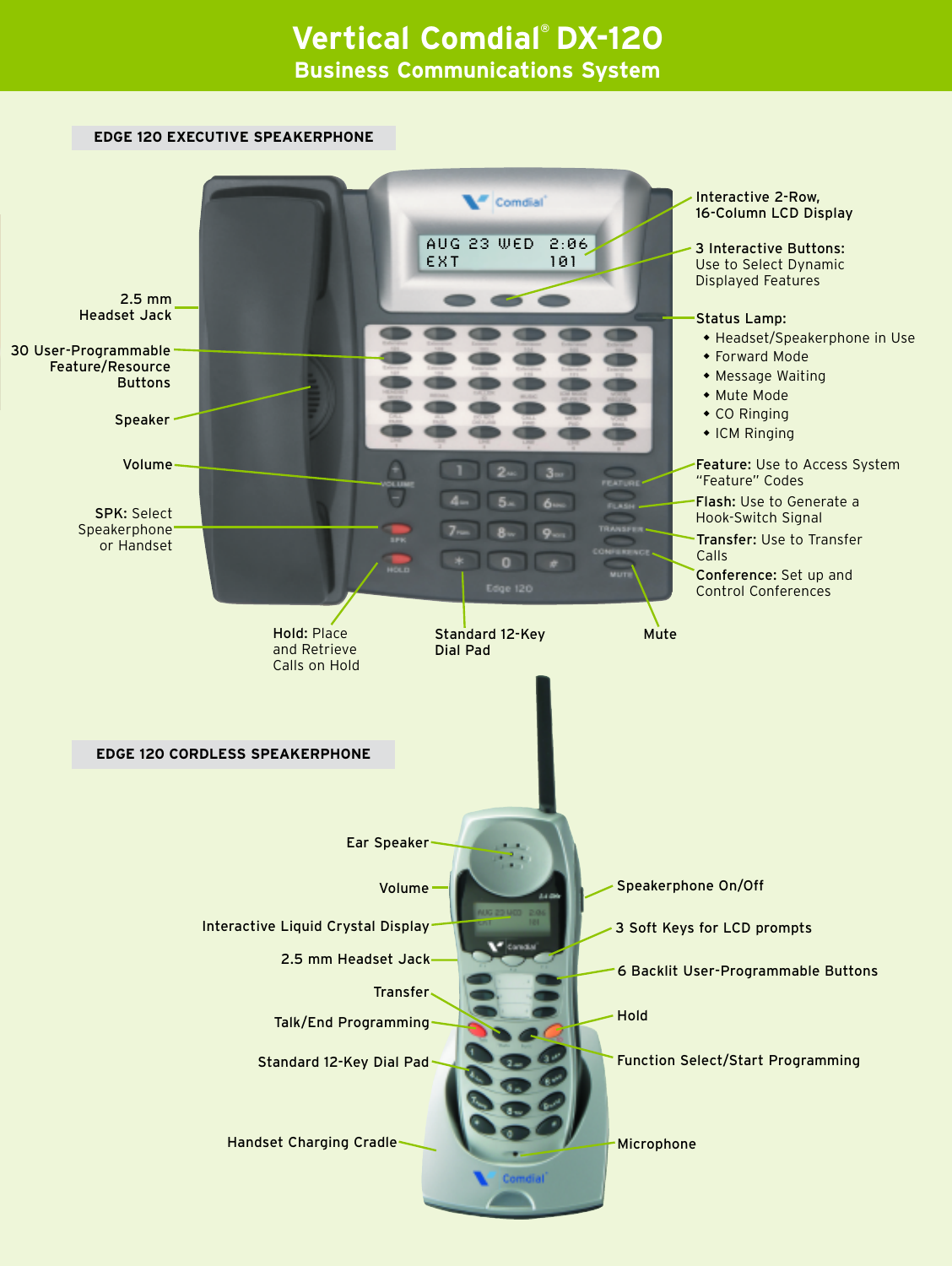# **Vertical Comdial® DX-120 Business Communications System**

# **EDGE 120 EXECUTIVE SPEAKERPHONE** Interactive 2-Row, Comdial 16-Column LCD DisplayaUg 23 wEd 2:06 3 Interactive Buttons: EXT 101 Use to Select Dynamic Displayed Features 2.5 mm Headset Jack Status Lamp: • Headset/Speakerphone in Use 30 User-Programmable • Forward Mode Feature/Resource • Message Waiting Buttons • Mute Mode  $\bullet$  CO Ringing Speaker  $\bullet$  ICM Ringing Volume Feature: Use to Access System "Feature" Codes Flash: Use to Generate a SPK: Select Hook-Switch Signal Speakerphone Transfer: Use to Transfer or Handset Calls Conference: Set up and Control Conferences Hold: Place Standard 12-Key Mute and Retrieve Dial Pad Calls on Hold **EDGE 120 CORDLESS SPEAKERPHONE** Ear Speaker Speakerphone On/Off Volume Interactive Liquid Crystal Display 3 Soft Keys for LCD prompts 2.5 mm Headset Jack 6 Backlit User-Programmable Buttons Transfer Hold Talk/End Programming Standard 12-Key Dial Pad Function Select/Start Programming Handset Charging Cradle Microphone